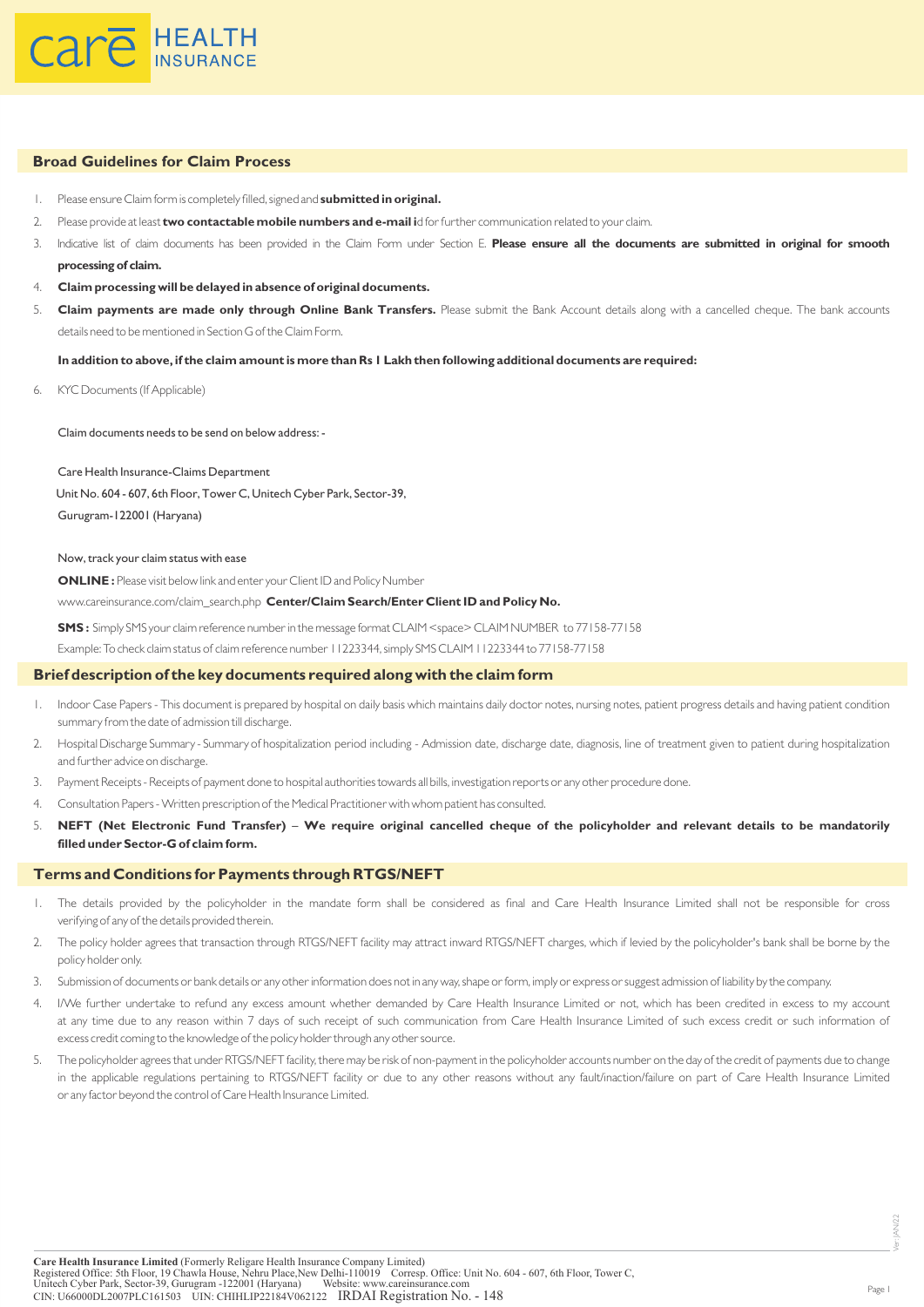

#### **Broad Guidelines for Claim Process**

- 1. Please ensure Claim form is completely filled, signed and **submitted in original.**
- 2. Please provide at least **two contactable mobile numbers and e-mail i**d for further communication related to your claim.
- 3. Indicative list of claim documents has been provided in the Claim Form under Section E. **Please ensure all the documents are submitted in original for smooth processing of claim.**
- 4. **Claim processing will be delayed in absence of original documents.**
- 5. **Claim payments are made only through Online Bank Transfers.** Please submit the Bank Account details along with a cancelled cheque. The bank accounts details need to be mentioned in Section G of the Claim Form.

#### **In addition to above, if the claim amount is more than Rs 1 Lakh then following additional documents are required:**

6. KYC Documents (If Applicable)

Claim documents needs to be send on below address: -

 Care Health Insurance-Claims Department Unit No. 604 - 607, 6th Floor, Tower C, Unitech Cyber Park, Sector-39, Gurugram-122001 (Haryana)

#### Now, track your claim status with ease

**ONLINE :** Please visit below link and enter your Client ID and Policy Number www.careinsurance.com/claim\_search.php **Center/Claim Search/Enter Client ID and Policy No.**

**SMS :** Simply SMS your claim reference number in the message format CLAIM <space> CLAIM NUMBER to 77158-77158 Example: To check claim status of claim reference number 11223344, simply SMS CLAIM 11223344 to 77158-77158

#### **Brief description of the key documents required along with the claim form**

- 1. Indoor Case Papers This document is prepared by hospital on daily basis which maintains daily doctor notes, nursing notes, patient progress details and having patient condition summary from the date of admission till discharge.
- 2. Hospital Discharge Summary Summary of hospitalization period including Admission date, discharge date, diagnosis, line of treatment given to patient during hospitalization and further advice on discharge.
- 3. Payment Receipts Receipts of payment done to hospital authorities towards all bills, investigation reports or any other procedure done.
- 4. Consultation Papers Written prescription of the Medical Practitioner with whom patient has consulted.
- 5. **NEFT (Net Electronic Fund Transfer) We require original cancelled cheque of the policyholder and relevant details to be mandatorily filled under Sector-G of claim form.**

#### **Terms and Conditions for Payments through RTGS/NEFT**

- 1. The details provided by the policyholder in the mandate form shall be considered as final and Care Health Insurance Limited shall not be responsible for cross verifying of any of the details provided therein.
- 2. The policy holder agrees that transaction through RTGS/NEFT facility may attract inward RTGS/NEFT charges, which if levied by the policyholder's bank shall be borne by the policy holder only.
- 3. Submission of documents or bank details or any other information does not in any way, shape or form, imply or express or suggest admission of liability by the company.
- 4. I/We further undertake to refund any excess amount whether demanded by Care Health Insurance Limited or not, which has been credited in excess to my account at any time due to any reason within 7 days of such receipt of such communication from Care Health Insurance Limited of such excess credit or such information of excess credit coming to the knowledge of the policy holder through any other source.
- 5. The policyholder agrees that under RTGS/NEFT facility, there may be risk of non-payment in the policyholder accounts number on the day of the credit of payments due to change in the applicable regulations pertaining to RTGS/NEFT facility or due to any other reasons without any fault/inaction/failure on part of Care Health Insurance Limited or any factor beyond the control of Care Health Insurance Limited.

Ver: JAN/22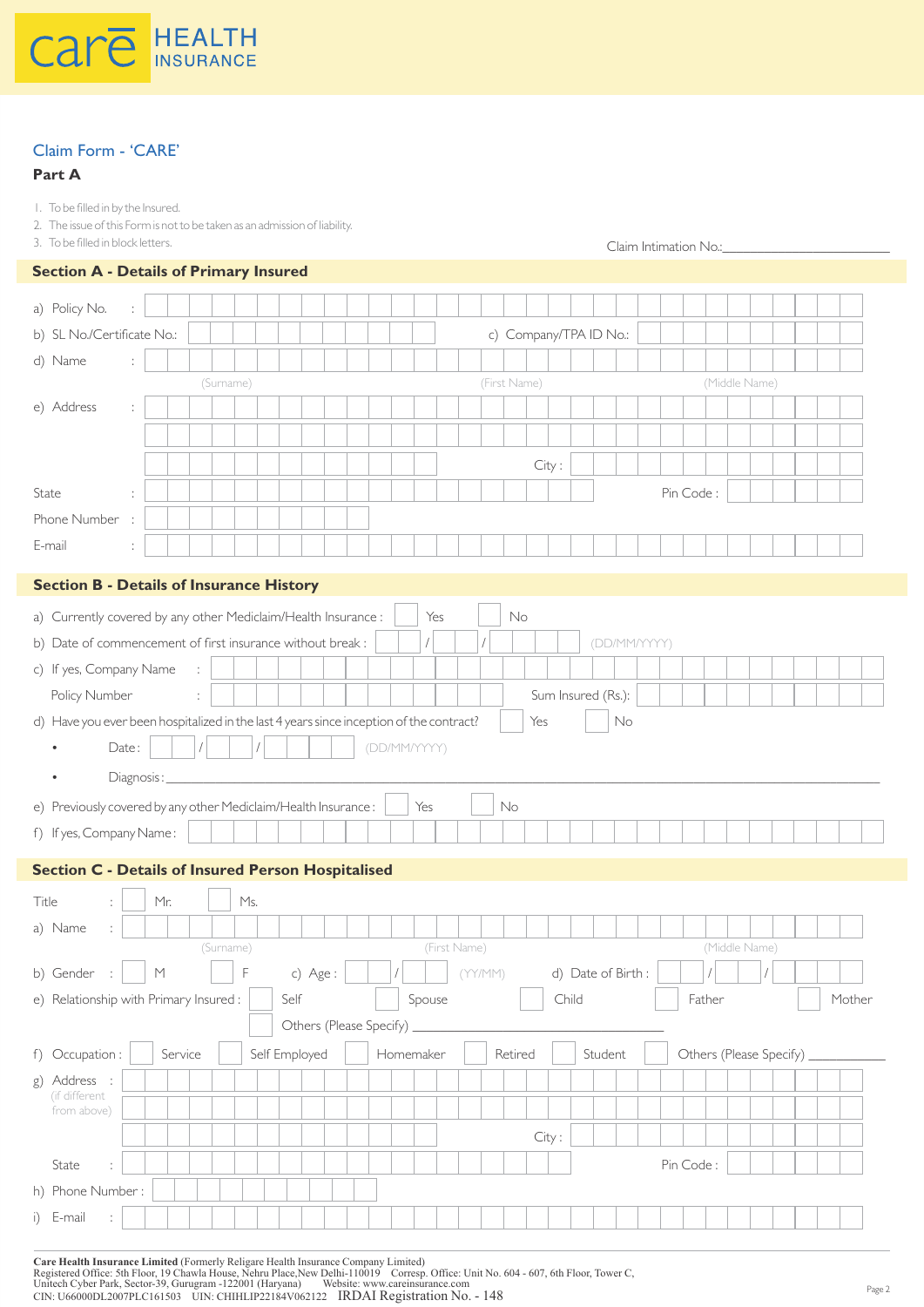

### Claim Form - 'CARE'

### **Part A**

- 1. To be filled in by the Insured.
- 2. The issue of this Form is not to be taken as an admission of liability.
- 3. To be filled in block letters.

| 3. To be filled in block letters.                                                       | Claim Intimation No.:                         |
|-----------------------------------------------------------------------------------------|-----------------------------------------------|
| <b>Section A - Details of Primary Insured</b>                                           |                                               |
| a) Policy No.                                                                           |                                               |
| b) SL No./Certificate No.:                                                              | c) Company/TPA ID No.:                        |
| d) Name                                                                                 |                                               |
| (Surname)                                                                               | (First Name)<br>(Middle Name)                 |
| e) Address<br>÷                                                                         |                                               |
|                                                                                         |                                               |
|                                                                                         | City:                                         |
| State                                                                                   | Pin Code:                                     |
| Phone Number                                                                            |                                               |
|                                                                                         |                                               |
| E-mail                                                                                  |                                               |
| <b>Section B - Details of Insurance History</b>                                         |                                               |
| a) Currently covered by any other Mediclaim/Health Insurance :<br>Yes                   | $\mathsf{No}$                                 |
| b) Date of commencement of first insurance without break :                              | (DD/MM/YYYY)                                  |
| c) If yes, Company Name                                                                 |                                               |
| Policy Number<br>÷                                                                      | Sum Insured (Rs.):                            |
| d) Have you ever been hospitalized in the last 4 years since inception of the contract? | No<br>Yes                                     |
| (DD/MM/YYYY)<br>Date:<br>$\bullet$                                                      |                                               |
| Diagnosis:<br>$\bullet$                                                                 |                                               |
| e) Previously covered by any other Mediclaim/Health Insurance:<br>Yes                   | No                                            |
| f) If yes, Company Name:                                                                |                                               |
|                                                                                         |                                               |
| <b>Section C - Details of Insured Person Hospitalised</b>                               |                                               |
| Mr.<br>Ms.<br>Title                                                                     |                                               |
| a) Name<br>÷                                                                            |                                               |
| (Surname)<br>(First Name)                                                               | (Middle Name)                                 |
| F<br>b) Gender :<br>$\mathbb M$<br>c) Age :                                             | d) Date of Birth :<br>(YY/MM)                 |
| e) Relationship with Primary Insured :<br>Self<br>Spouse                                | Child<br>Father<br>Mother                     |
| Others (Please Specify) _                                                               |                                               |
| f) Occupation :<br>Self Employed<br>Service<br>Homemaker                                | Others (Please Specify)<br>Retired<br>Student |
| g) Address :<br>(if different                                                           |                                               |
| from above)                                                                             |                                               |
|                                                                                         | City:                                         |
| State                                                                                   | Pin Code:                                     |
| h) Phone Number:                                                                        |                                               |
| i) E-mail                                                                               |                                               |
|                                                                                         |                                               |

Care Health Insurance Limited (Formerly Religare Health Insurance Company Limited)<br>Registered Office: 5th Floor, 19 Chawla House, Nehru Place,New Delhi-110019 Corresp. Office: Unit No. 604 - 607, 6th Floor, Tower C,<br>Unitec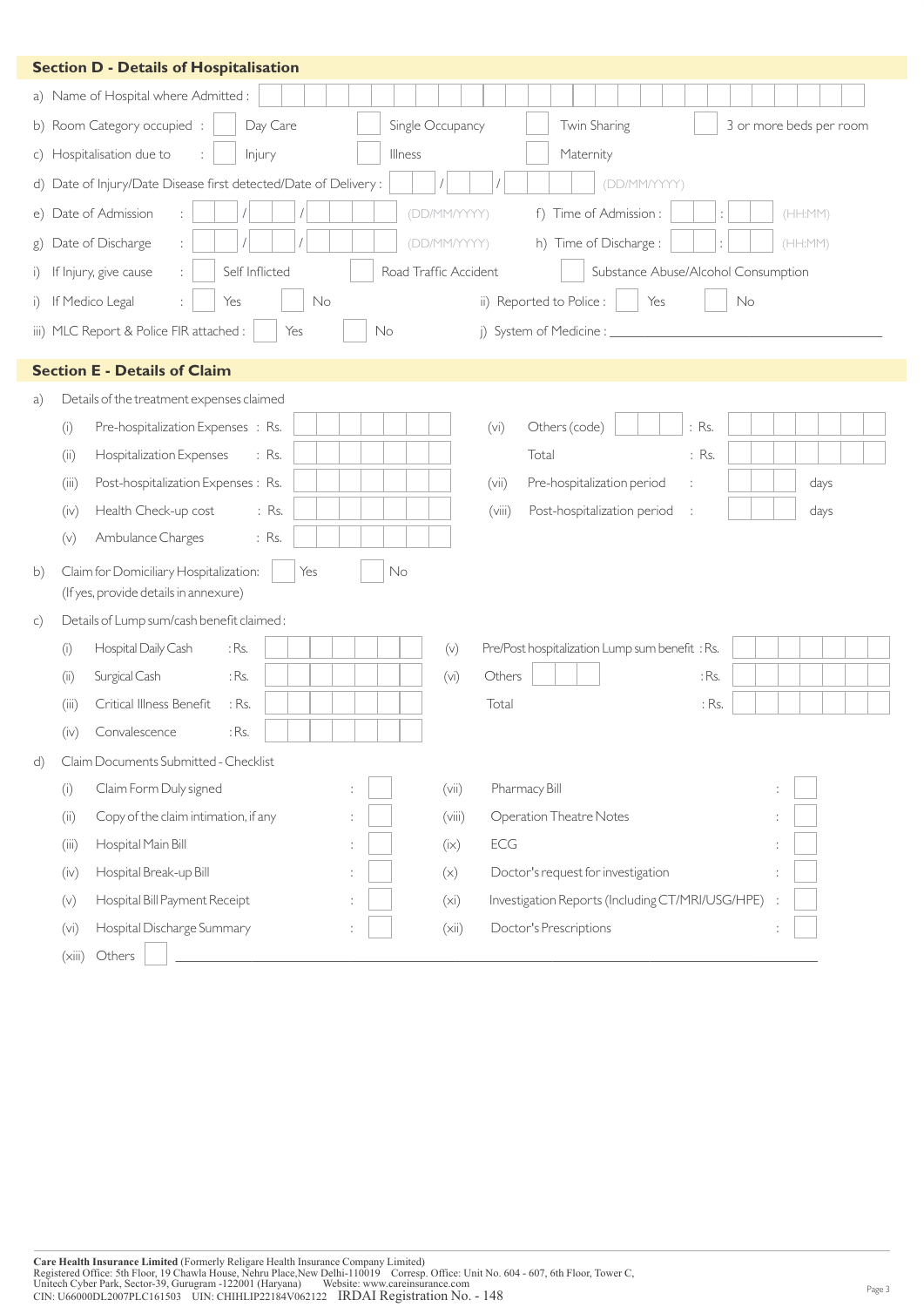|              |        | <b>Section D - Details of Hospitalisation</b>                                   |           |                       |                                                  |                                     |                         |
|--------------|--------|---------------------------------------------------------------------------------|-----------|-----------------------|--------------------------------------------------|-------------------------------------|-------------------------|
|              |        | a) Name of Hospital where Admitted :                                            |           |                       |                                                  |                                     |                         |
|              |        | b) Room Category occupied :<br>Day Care                                         |           | Single Occupancy      | Twin Sharing                                     |                                     | 3 or more beds per room |
|              |        | c) Hospitalisation due to<br>Injury                                             |           | <b>Illness</b>        | Maternity                                        |                                     |                         |
|              |        | d) Date of Injury/Date Disease first detected/Date of Delivery:                 |           |                       |                                                  | (DD/MM/YYYY)                        |                         |
|              |        | e) Date of Admission                                                            |           | (DD/MM/YYYY)          | f) Time of Admission :                           |                                     | (HH:MM)                 |
| g)           |        | Date of Discharge                                                               |           | (DD/MM/YYYY)          | h) Time of Discharge :                           |                                     | (HH:MM)                 |
|              |        | Self Inflicted<br>i) If Injury, give cause                                      |           | Road Traffic Accident |                                                  | Substance Abuse/Alcohol Consumption |                         |
|              |        | i) If Medico Legal<br>Yes                                                       | No        |                       | ii) Reported to Police :                         | No<br>Yes                           |                         |
|              |        | iii) MLC Report & Police FIR attached :                                         | No<br>Yes |                       | j) System of Medicine : _                        |                                     |                         |
|              |        |                                                                                 |           |                       |                                                  |                                     |                         |
|              |        | <b>Section E - Details of Claim</b>                                             |           |                       |                                                  |                                     |                         |
| a)           |        | Details of the treatment expenses claimed                                       |           |                       |                                                  |                                     |                         |
|              | (i)    | Pre-hospitalization Expenses : Rs.                                              |           |                       | Others (code)<br>(vi)                            | $:$ Rs.                             |                         |
|              | (ii)   | Hospitalization Expenses<br>$:$ Rs.                                             |           |                       | Total                                            | $:$ Rs.                             |                         |
|              | (iii)  | Post-hospitalization Expenses : Rs.                                             |           |                       | Pre-hospitalization period<br>(vii)              |                                     | days                    |
|              | (iv)   | Health Check-up cost<br>$:$ Rs.                                                 |           |                       | Post-hospitalization period<br>(viii)            |                                     | days                    |
|              | (v)    | Ambulance Charges<br>$:$ Rs.                                                    |           |                       |                                                  |                                     |                         |
| b)           |        | Claim for Domiciliary Hospitalization:<br>(If yes, provide details in annexure) | Yes       | No                    |                                                  |                                     |                         |
| $\mathsf{C}$ |        | Details of Lump sum/cash benefit claimed:                                       |           |                       |                                                  |                                     |                         |
|              | (i)    | : Rs.<br>Hospital Daily Cash                                                    |           | (v)                   | Pre/Post hospitalization Lump sum benefit : Rs.  |                                     |                         |
|              | (ii)   | Surgical Cash<br>:Rs.                                                           |           | (vi)                  | Others                                           | : Rs.                               |                         |
|              | (iii)  | Critical Illness Benefit<br>$:$ Rs.                                             |           |                       | Total                                            | : Rs.                               |                         |
|              | (iv)   | Convalescence<br>: Rs.                                                          |           |                       |                                                  |                                     |                         |
| d)           |        | Claim Documents Submitted - Checklist                                           |           |                       |                                                  |                                     |                         |
|              | (i)    | Claim Form Duly signed                                                          |           | (vii)                 | Pharmacy Bill                                    |                                     |                         |
|              | (ii)   | Copy of the claim intimation, if any                                            |           | (viii)                | <b>Operation Theatre Notes</b>                   |                                     |                         |
|              | (iii)  | Hospital Main Bill                                                              |           | (ix)                  | ECG                                              |                                     |                         |
|              | (iv)   | Hospital Break-up Bill                                                          |           | (x)                   | Doctor's request for investigation               |                                     |                         |
|              | (v)    | Hospital Bill Payment Receipt                                                   |           | (xi)                  | Investigation Reports (Including CT/MRI/USG/HPE) |                                     |                         |
|              | (vi)   | Hospital Discharge Summary                                                      |           | (xii)                 | Doctor's Prescriptions                           |                                     |                         |
|              | (xiii) | Others                                                                          |           |                       |                                                  |                                     |                         |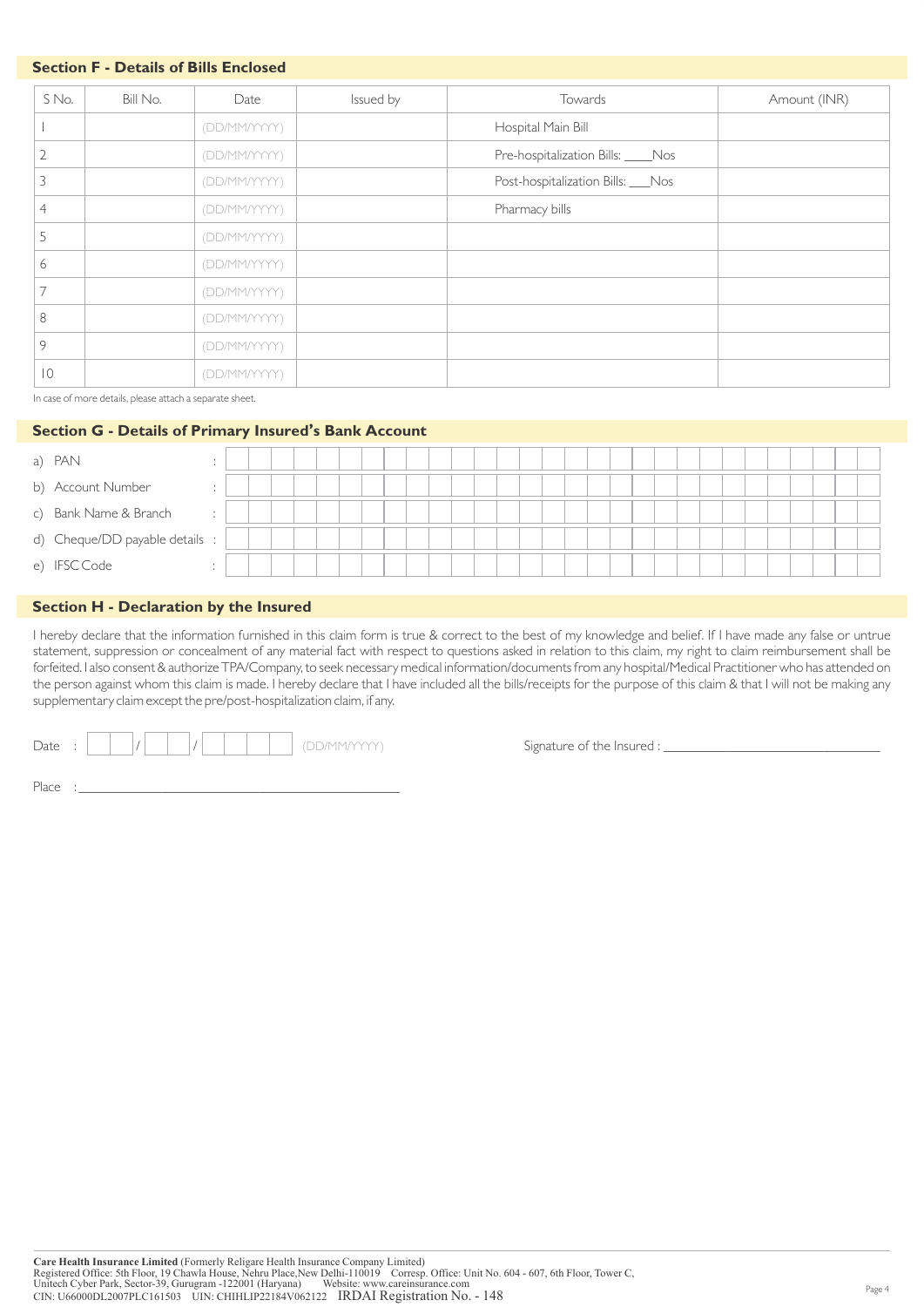# **Section F - Details of Bills Enclosed** S No. | Bill No. | Date | Issued by | Towards | Amount (INR) 1 (DD/MM/YYYY) Hospital Main Bill 2 (DD/MM/YYYY) Pre-hospitalization Bills: \_\_\_Nos 3 (DD/MM/YYYY) Post-hospitalization Bills: Nos **4** (DD/MM/YYYY) **Pharmacy bills** 5 (DD/MM/YYYY) 6 (DD/MM/YYYY) 7 (DD/MM/YYYY) 8 (DD/MM/YYYY) 9 (DD/MM/YYYY) 10 (DD/MM/YYYY)

In case of more details, please attach a separate sheet.

# **Section G - Details of Primary Insured's Bank Account**

| a) PAN                         |  |  |  |  |  |  |  |  |  |  |  |  |  |  |  |
|--------------------------------|--|--|--|--|--|--|--|--|--|--|--|--|--|--|--|
| b) Account Number              |  |  |  |  |  |  |  |  |  |  |  |  |  |  |  |
| c) Bank Name & Branch          |  |  |  |  |  |  |  |  |  |  |  |  |  |  |  |
| d) Cheque/DD payable details : |  |  |  |  |  |  |  |  |  |  |  |  |  |  |  |
| e) IFSC Code                   |  |  |  |  |  |  |  |  |  |  |  |  |  |  |  |

## **Section H - Declaration by the Insured**

I hereby declare that the information furnished in this claim form is true & correct to the best of my knowledge and belief. If I have made any false or untrue statement, suppression or concealment of any material fact with respect to questions asked in relation to this claim, my right to claim reimbursement shall be forfeited. I also consent & authorize TPA/Company, to seek necessary medical information/documents from any hospital/Medical Practitioner who has attended on the person against whom this claim is made. I hereby declare that I have included all the bills/receipts for the purpose of this claim & that I will not be making any supplementary claim except the pre/post-hospitalization claim, if any.

| )a†e |  |  |  |  |  | <b>D/MM/YYYY</b><br>$\mathbb{1}$ |
|------|--|--|--|--|--|----------------------------------|
|      |  |  |  |  |  |                                  |

Place :\_

Signature of the Insured : \_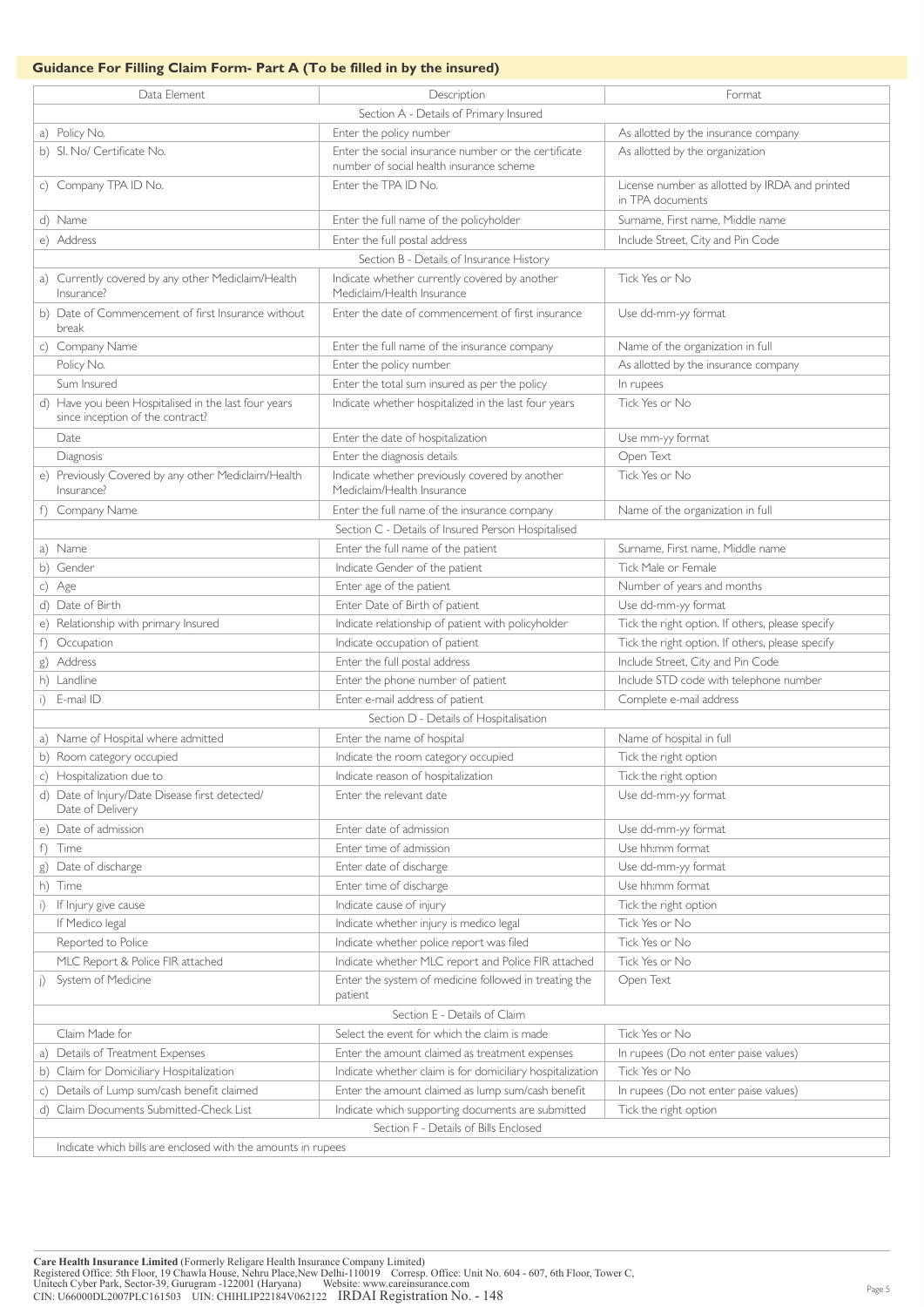### **Guidance For Filling Claim Form- Part A (To be filled in by the insured)**

| Data Element                                                                             | Description                                                                                      | Format                                                             |
|------------------------------------------------------------------------------------------|--------------------------------------------------------------------------------------------------|--------------------------------------------------------------------|
|                                                                                          | Section A - Details of Primary Insured                                                           |                                                                    |
| a) Policy No.                                                                            | Enter the policy number                                                                          | As allotted by the insurance company                               |
| b) SI. No/ Certificate No.                                                               | Enter the social insurance number or the certificate<br>number of social health insurance scheme | As allotted by the organization                                    |
| c) Company TPA ID No.                                                                    | Enter the TPA ID No.                                                                             | License number as allotted by IRDA and printed<br>in TPA documents |
| d) Name                                                                                  | Enter the full name of the policyholder                                                          | Surname. First name. Middle name                                   |
| e) Address                                                                               | Enter the full postal address                                                                    | Include Street, City and Pin Code                                  |
|                                                                                          | Section B - Details of Insurance History                                                         |                                                                    |
| a) Currently covered by any other Mediclaim/Health<br>Insurance?                         | Indicate whether currently covered by another<br>Mediclaim/Health Insurance                      | Tick Yes or No                                                     |
| b) Date of Commencement of first Insurance without<br>break                              | Enter the date of commencement of first insurance                                                | Use dd-mm-yy format                                                |
| c) Company Name                                                                          | Enter the full name of the insurance company                                                     | Name of the organization in full                                   |
| Policy No.                                                                               | Enter the policy number                                                                          | As allotted by the insurance company                               |
| Sum Insured                                                                              | Enter the total sum insured as per the policy                                                    | In rupees                                                          |
| d) Have you been Hospitalised in the last four years<br>since inception of the contract? | Indicate whether hospitalized in the last four years                                             | Tick Yes or No                                                     |
| Date                                                                                     | Enter the date of hospitalization                                                                | Use mm-yy format                                                   |
| Diagnosis                                                                                | Enter the diagnosis details                                                                      | Open Text                                                          |
| e) Previously Covered by any other Mediclaim/Health<br>Insurance?                        | Indicate whether previously covered by another<br>Mediclaim/Health Insurance                     | Tick Yes or No                                                     |
| f) Company Name                                                                          | Enter the full name of the insurance company                                                     | Name of the organization in full                                   |
|                                                                                          | Section C - Details of Insured Person Hospitalised                                               |                                                                    |
| a) Name                                                                                  | Enter the full name of the patient                                                               | Surname, First name, Middle name                                   |
| b) Gender                                                                                | Indicate Gender of the patient                                                                   | Tick Male or Female                                                |
| c) Age                                                                                   | Enter age of the patient                                                                         | Number of years and months                                         |
| d) Date of Birth                                                                         | Enter Date of Birth of patient                                                                   | Use dd-mm-yy format                                                |
| e) Relationship with primary Insured                                                     | Indicate relationship of patient with policyholder                                               | Tick the right option. If others, please specify                   |
| f) Occupation                                                                            | Indicate occupation of patient                                                                   | Tick the right option. If others, please specify                   |
| g) Address                                                                               | Enter the full postal address                                                                    | Include Street, City and Pin Code                                  |
| h) Landline                                                                              | Enter the phone number of patient                                                                | Include STD code with telephone number                             |
| E-mail ID<br>i)                                                                          | Enter e-mail address of patient                                                                  | Complete e-mail address                                            |
|                                                                                          | Section D - Details of Hospitalisation                                                           |                                                                    |
| a) Name of Hospital where admitted                                                       | Enter the name of hospital                                                                       | Name of hospital in full                                           |
| b) Room category occupied                                                                | Indicate the room category occupied                                                              | Tick the right option                                              |
| c) Hospitalization due to                                                                | Indicate reason of hospitalization                                                               | Tick the right option                                              |
| d) Date of Injury/Date Disease first detected/<br>Date of Delivery                       | Enter the relevant date                                                                          | Use dd-mm-yy format                                                |
| e) Date of admission                                                                     | Enter date of admission                                                                          | Use dd-mm-yy format                                                |
| f) Time                                                                                  | Enter time of admission                                                                          | Use hh:mm format                                                   |
| g) Date of discharge                                                                     | Enter date of discharge                                                                          | Use dd-mm-yy format                                                |
| h) Time                                                                                  | Enter time of discharge                                                                          | Use hh:mm format                                                   |
| If Injury give cause<br>i)                                                               | Indicate cause of injury                                                                         | Tick the right option                                              |
| If Medico legal                                                                          | Indicate whether injury is medico legal                                                          | Tick Yes or No                                                     |
| Reported to Police                                                                       | Indicate whether police report was filed                                                         | Tick Yes or No                                                     |
| MLC Report & Police FIR attached                                                         | Indicate whether MLC report and Police FIR attached                                              | Tick Yes or No                                                     |
| j) System of Medicine                                                                    | Enter the system of medicine followed in treating the<br>patient                                 | Open Text                                                          |
|                                                                                          | Section E - Details of Claim                                                                     |                                                                    |
| Claim Made for                                                                           | Select the event for which the claim is made                                                     | Tick Yes or No                                                     |
| a) Details of Treatment Expenses                                                         | Enter the amount claimed as treatment expenses                                                   | In rupees (Do not enter paise values)                              |
| b) Claim for Domiciliary Hospitalization                                                 | Indicate whether claim is for domiciliary hospitalization                                        | Tick Yes or No                                                     |
| c) Details of Lump sum/cash benefit claimed                                              | Enter the amount claimed as lump sum/cash benefit                                                | In rupees (Do not enter paise values)                              |
| d) Claim Documents Submitted-Check List                                                  | Indicate which supporting documents are submitted                                                | Tick the right option                                              |
| Indicate which bills are enclosed with the amounts in runes                              | Section F - Details of Bills Enclosed                                                            |                                                                    |

Indicate which bills are enclosed with the amounts in rupees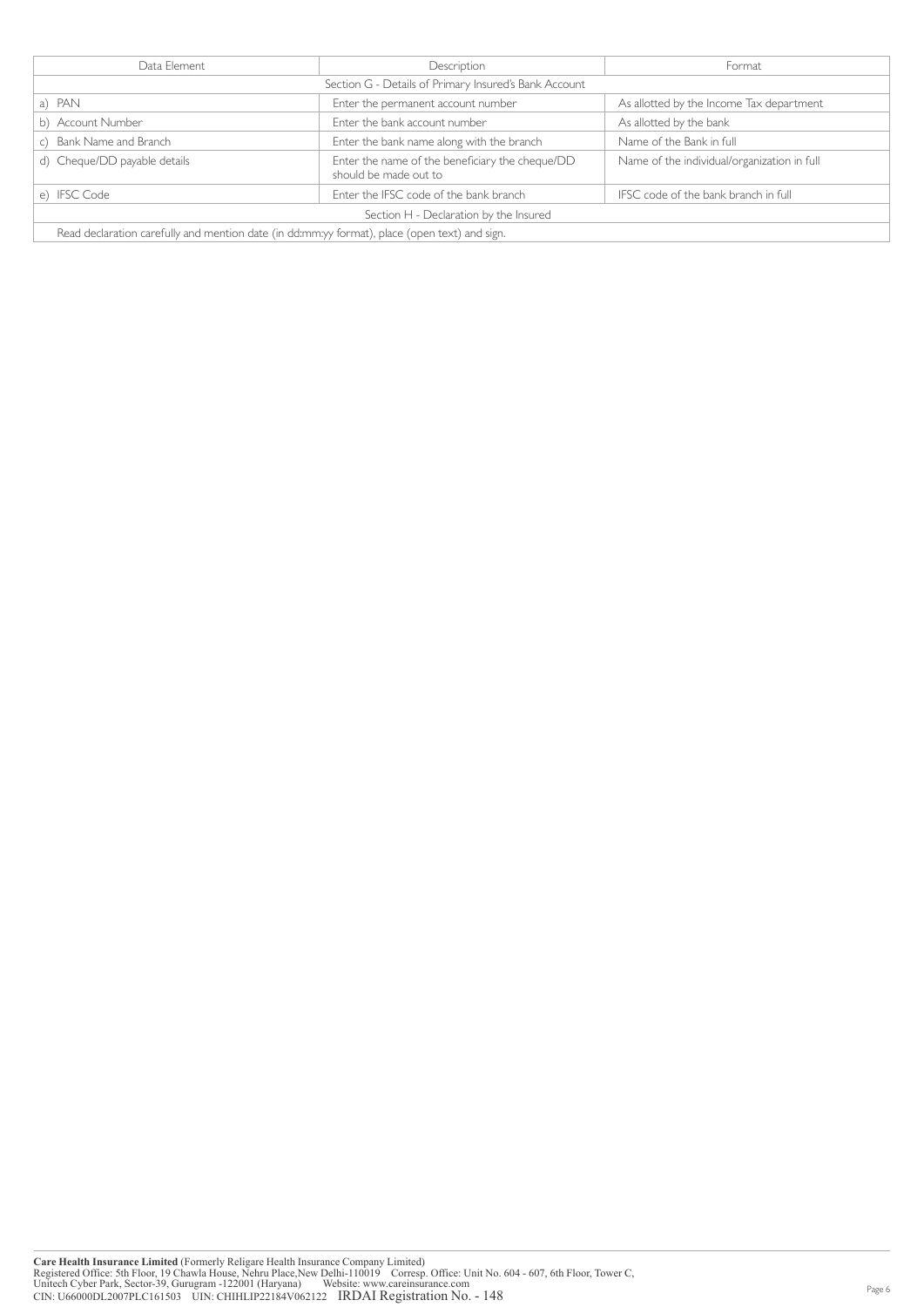| Data Element                                                                                   | Description                                                                                   | Format                                      |  |  |  |  |  |  |  |  |
|------------------------------------------------------------------------------------------------|-----------------------------------------------------------------------------------------------|---------------------------------------------|--|--|--|--|--|--|--|--|
|                                                                                                | Section G - Details of Primary Insured's Bank Account                                         |                                             |  |  |  |  |  |  |  |  |
| a) PAN                                                                                         | Enter the permanent account number                                                            | As allotted by the Income Tax department    |  |  |  |  |  |  |  |  |
| b) Account Number                                                                              | Enter the bank account number                                                                 | As allotted by the bank                     |  |  |  |  |  |  |  |  |
| c) Bank Name and Branch                                                                        | Enter the bank name along with the branch                                                     | Name of the Bank in full                    |  |  |  |  |  |  |  |  |
| d) Cheque/DD payable details                                                                   | Enter the name of the beneficiary the cheque/DD<br>should be made out to                      | Name of the individual/organization in full |  |  |  |  |  |  |  |  |
| IFSC code of the bank branch in full<br>Enter the IFSC code of the bank branch<br>e) IFSC Code |                                                                                               |                                             |  |  |  |  |  |  |  |  |
|                                                                                                | Section H - Declaration by the Insured                                                        |                                             |  |  |  |  |  |  |  |  |
|                                                                                                | Read declaration carefully and mention date (in dd:mm:yy format), place (open text) and sign. |                                             |  |  |  |  |  |  |  |  |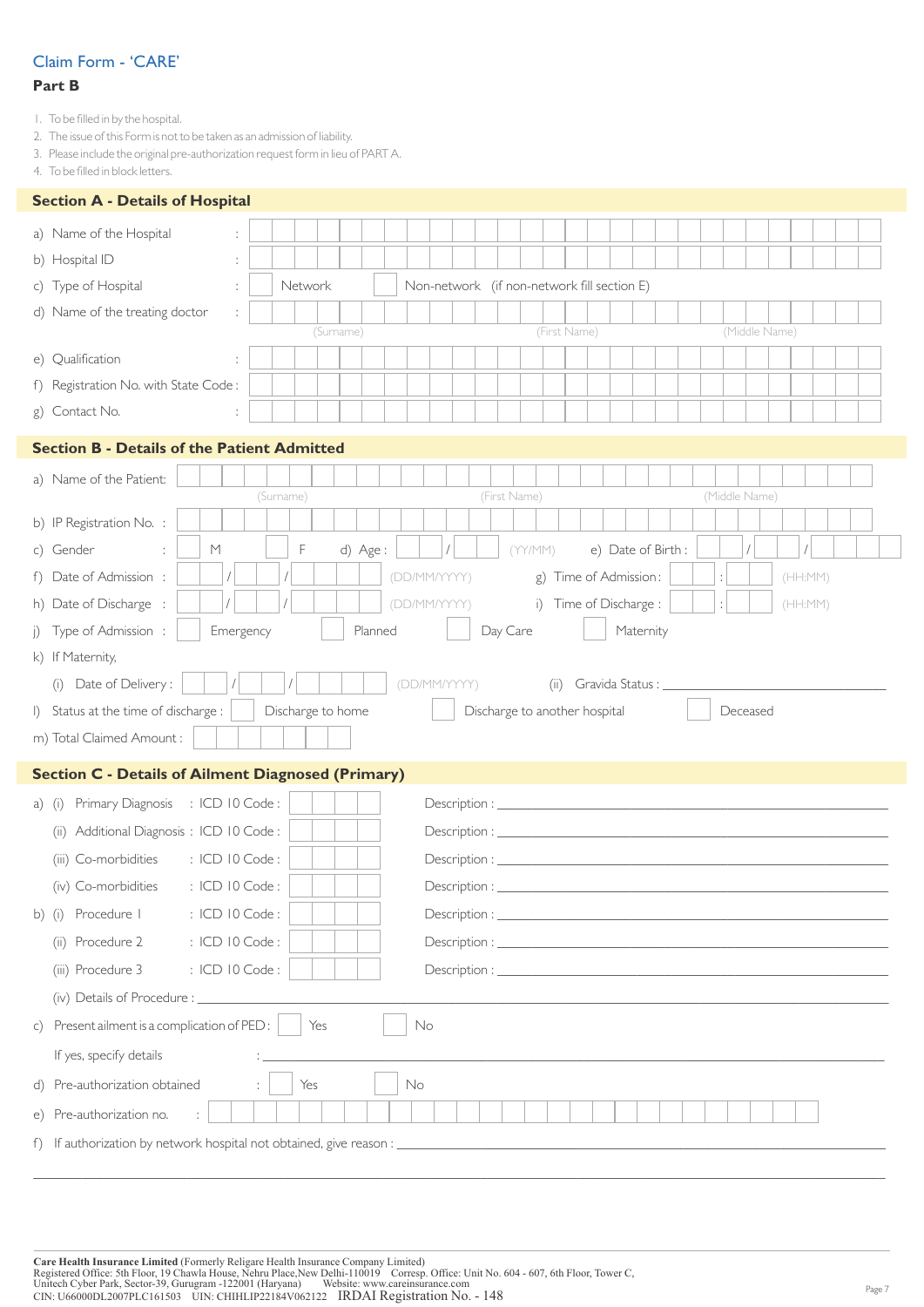# Claim Form - 'CARE'

### **Part B**

- 1. To be filled in by the hospital.
- 2. The issue of this Form is not to be taken as an admission of liability.
- 3. Please include the original pre-authorization request form in lieu of PART A.
- 4. To be filled in block letters.

|        | <b>Section A - Details of Hospital</b>                    |           |           |                   |           |          |               |  |              |         |      |              |                                             |                                                                                                                                                                                                                               |  |               |               |         |  |  |
|--------|-----------------------------------------------------------|-----------|-----------|-------------------|-----------|----------|---------------|--|--------------|---------|------|--------------|---------------------------------------------|-------------------------------------------------------------------------------------------------------------------------------------------------------------------------------------------------------------------------------|--|---------------|---------------|---------|--|--|
|        | a) Name of the Hospital                                   |           |           |                   |           |          |               |  |              |         |      |              |                                             |                                                                                                                                                                                                                               |  |               |               |         |  |  |
|        | b) Hospital ID                                            |           |           |                   |           |          |               |  |              |         |      |              |                                             |                                                                                                                                                                                                                               |  |               |               |         |  |  |
|        | c) Type of Hospital                                       |           |           | Network           |           |          |               |  |              |         |      |              | Non-network (if non-network fill section E) |                                                                                                                                                                                                                               |  |               |               |         |  |  |
|        | d) Name of the treating doctor                            |           |           |                   |           |          |               |  |              |         |      |              |                                             |                                                                                                                                                                                                                               |  |               |               |         |  |  |
|        |                                                           |           |           |                   | (Surname) |          |               |  |              |         |      | (First Name) |                                             |                                                                                                                                                                                                                               |  |               | (Middle Name) |         |  |  |
|        | e) Qualification                                          |           |           |                   |           |          |               |  |              |         |      |              |                                             |                                                                                                                                                                                                                               |  |               |               |         |  |  |
|        | f) Registration No. with State Code:                      |           |           |                   |           |          |               |  |              |         |      |              |                                             |                                                                                                                                                                                                                               |  |               |               |         |  |  |
|        | g) Contact No.                                            |           |           |                   |           |          |               |  |              |         |      |              |                                             |                                                                                                                                                                                                                               |  |               |               |         |  |  |
|        | <b>Section B - Details of the Patient Admitted</b>        |           |           |                   |           |          |               |  |              |         |      |              |                                             |                                                                                                                                                                                                                               |  |               |               |         |  |  |
|        | a) Name of the Patient:                                   |           |           |                   |           |          |               |  |              |         |      |              |                                             |                                                                                                                                                                                                                               |  |               |               |         |  |  |
|        |                                                           |           | (Surname) |                   |           |          |               |  | (First Name) |         |      |              |                                             |                                                                                                                                                                                                                               |  | (Middle Name) |               |         |  |  |
|        | b) IP Registration No. :                                  |           |           |                   |           |          |               |  |              |         |      |              |                                             |                                                                                                                                                                                                                               |  |               |               |         |  |  |
|        | M<br>c) Gender                                            |           |           | F                 |           | d) Age : |               |  |              | (YY/MM) |      |              |                                             | e) Date of Birth:                                                                                                                                                                                                             |  |               |               |         |  |  |
|        | f) Date of Admission :                                    |           |           |                   |           |          | (DD/MM/YYYY)  |  |              |         |      |              |                                             | g) Time of Admission:                                                                                                                                                                                                         |  |               |               | (HH:MM) |  |  |
|        | h) Date of Discharge :                                    |           |           |                   |           |          | (DD/MM/YYYY)  |  |              |         |      |              |                                             | i) Time of Discharge :                                                                                                                                                                                                        |  |               |               | (HH:MM) |  |  |
|        | j) Type of Admission :                                    | Emergency |           |                   |           | Planned  |               |  | Day Care     |         |      |              |                                             | Maternity                                                                                                                                                                                                                     |  |               |               |         |  |  |
|        | k) If Maternity,                                          |           |           |                   |           |          |               |  |              |         |      |              |                                             |                                                                                                                                                                                                                               |  |               |               |         |  |  |
|        | Date of Delivery:<br>(i)                                  |           |           |                   |           |          | (DD/MM/YYYY)  |  |              |         | (ii) |              |                                             | Gravida Status : _______                                                                                                                                                                                                      |  |               |               |         |  |  |
|        | I) Status at the time of discharge :                      |           |           | Discharge to home |           |          |               |  |              |         |      |              | Discharge to another hospital               |                                                                                                                                                                                                                               |  |               | Deceased      |         |  |  |
|        | m) Total Claimed Amount :                                 |           |           |                   |           |          |               |  |              |         |      |              |                                             |                                                                                                                                                                                                                               |  |               |               |         |  |  |
|        | <b>Section C - Details of Ailment Diagnosed (Primary)</b> |           |           |                   |           |          |               |  |              |         |      |              |                                             |                                                                                                                                                                                                                               |  |               |               |         |  |  |
| a) (i) | Primary Diagnosis : ICD 10 Code :                         |           |           |                   |           |          |               |  |              |         |      |              |                                             |                                                                                                                                                                                                                               |  |               |               |         |  |  |
|        | (ii) Additional Diagnosis: ICD 10 Code:                   |           |           |                   |           |          |               |  |              |         |      |              |                                             |                                                                                                                                                                                                                               |  |               |               |         |  |  |
|        | (iii) Co-morbidities<br>$\therefore$ ICD 10 Code :        |           |           |                   |           |          |               |  |              |         |      |              |                                             |                                                                                                                                                                                                                               |  |               |               |         |  |  |
|        | (iv) Co-morbidities<br>: ICD 10 Code:                     |           |           |                   |           |          |               |  |              |         |      |              |                                             |                                                                                                                                                                                                                               |  |               |               |         |  |  |
| b) (i) | : ICD 10 Code:<br>Procedure I                             |           |           |                   |           |          |               |  |              |         |      |              |                                             |                                                                                                                                                                                                                               |  |               |               |         |  |  |
|        | Procedure 2<br>: ICD 10 Code:<br>(ii)                     |           |           |                   |           |          |               |  |              |         |      |              |                                             |                                                                                                                                                                                                                               |  |               |               |         |  |  |
|        | (iii) Procedure 3<br>: ICD 10 Code:                       |           |           |                   |           |          |               |  |              |         |      |              |                                             | Description : the contract of the contract of the contract of the contract of the contract of the contract of the contract of the contract of the contract of the contract of the contract of the contract of the contract of |  |               |               |         |  |  |
|        |                                                           |           |           |                   |           |          |               |  |              |         |      |              |                                             |                                                                                                                                                                                                                               |  |               |               |         |  |  |
|        | c) Present ailment is a complication of PED:              |           |           | Yes               |           |          | No            |  |              |         |      |              |                                             |                                                                                                                                                                                                                               |  |               |               |         |  |  |
|        | If yes, specify details                                   |           |           |                   |           |          |               |  |              |         |      |              |                                             |                                                                                                                                                                                                                               |  |               |               |         |  |  |
|        | d) Pre-authorization obtained                             |           |           | Yes               |           |          | $\mathsf{No}$ |  |              |         |      |              |                                             |                                                                                                                                                                                                                               |  |               |               |         |  |  |
|        | e) Pre-authorization no.                                  |           |           |                   |           |          |               |  |              |         |      |              |                                             |                                                                                                                                                                                                                               |  |               |               |         |  |  |
| f)     |                                                           |           |           |                   |           |          |               |  |              |         |      |              |                                             |                                                                                                                                                                                                                               |  |               |               |         |  |  |
|        |                                                           |           |           |                   |           |          |               |  |              |         |      |              |                                             |                                                                                                                                                                                                                               |  |               |               |         |  |  |

Care Health Insurance Limited (Formerly Religare Health Insurance Company Limited)<br>Registered Office: 5th Floor, 19 Chawla House, Nehru Place,New Delhi-110019 Corresp. Office: Unit No. 604 - 607, 6th Floor, Tower C,<br>Unitec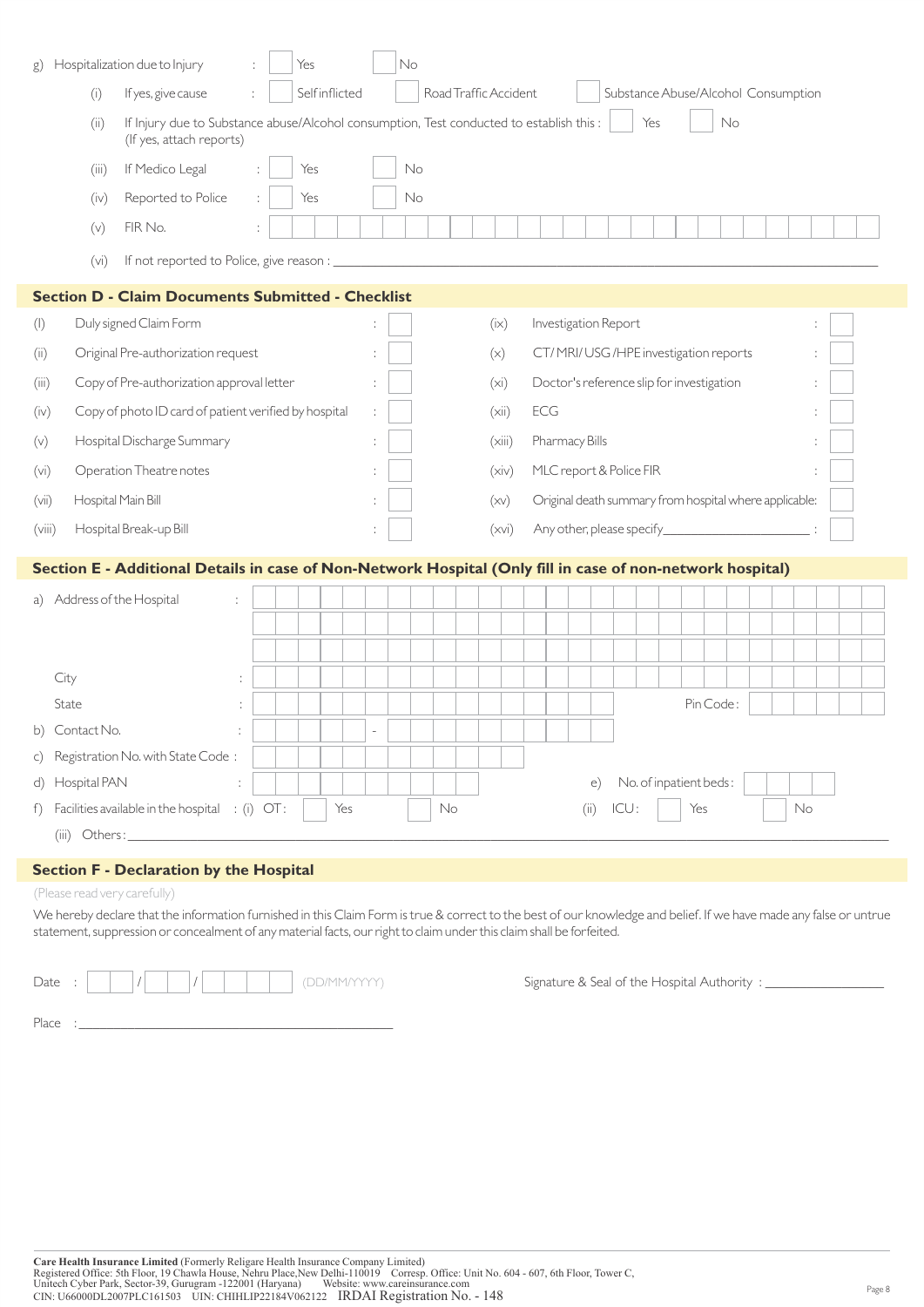| g)          |                    | Hospitalization due to Injury                                                                                                                                                                                                                                                              |    | Yes            |     | No |    |                       |                         |      |         |     |     |                                                        |  |    |  |  |
|-------------|--------------------|--------------------------------------------------------------------------------------------------------------------------------------------------------------------------------------------------------------------------------------------------------------------------------------------|----|----------------|-----|----|----|-----------------------|-------------------------|------|---------|-----|-----|--------------------------------------------------------|--|----|--|--|
|             | (i)                | If yes, give cause                                                                                                                                                                                                                                                                         |    | Self inflicted |     |    |    | Road Traffic Accident |                         |      |         |     |     | Substance Abuse/Alcohol Consumption                    |  |    |  |  |
|             | (ii)               | If Injury due to Substance abuse/Alcohol consumption, Test conducted to establish this :<br>(If yes, attach reports)                                                                                                                                                                       |    |                |     |    |    |                       |                         |      |         | Yes |     | No                                                     |  |    |  |  |
|             | (iii)              | If Medico Legal                                                                                                                                                                                                                                                                            |    | Yes            |     | No |    |                       |                         |      |         |     |     |                                                        |  |    |  |  |
|             | (iv)               | Reported to Police                                                                                                                                                                                                                                                                         |    | Yes            |     | No |    |                       |                         |      |         |     |     |                                                        |  |    |  |  |
|             | (v)                | FIR No.                                                                                                                                                                                                                                                                                    |    |                |     |    |    |                       |                         |      |         |     |     |                                                        |  |    |  |  |
|             | (vi)               | If not reported to Police, give reason : _                                                                                                                                                                                                                                                 |    |                |     |    |    |                       |                         |      |         |     |     |                                                        |  |    |  |  |
|             |                    | <b>Section D - Claim Documents Submitted - Checklist</b>                                                                                                                                                                                                                                   |    |                |     |    |    |                       |                         |      |         |     |     |                                                        |  |    |  |  |
| $($ l $)$   |                    | Duly signed Claim Form                                                                                                                                                                                                                                                                     |    |                |     |    |    | (ix)                  | Investigation Report    |      |         |     |     |                                                        |  |    |  |  |
| (ii)        |                    | Original Pre-authorization request                                                                                                                                                                                                                                                         |    |                |     |    |    | $(\times)$            |                         |      |         |     |     | CT/MRI/USG/HPE investigation reports                   |  |    |  |  |
| (iii)       |                    | Copy of Pre-authorization approval letter                                                                                                                                                                                                                                                  |    |                |     |    |    | (xi)                  |                         |      |         |     |     | Doctor's reference slip for investigation              |  |    |  |  |
| (iv)        |                    | Copy of photo ID card of patient verified by hospital                                                                                                                                                                                                                                      |    |                |     |    |    | (xii)                 | ECG                     |      |         |     |     |                                                        |  |    |  |  |
| (v)         |                    | Hospital Discharge Summary                                                                                                                                                                                                                                                                 |    |                |     |    |    | (xiii)                | Pharmacy Bills          |      |         |     |     |                                                        |  |    |  |  |
| (vi)        |                    | Operation Theatre notes                                                                                                                                                                                                                                                                    |    |                |     |    |    | (xiv)                 | MLC report & Police FIR |      |         |     |     |                                                        |  |    |  |  |
| (vii)       | Hospital Main Bill |                                                                                                                                                                                                                                                                                            |    |                |     |    |    | (xv)                  |                         |      |         |     |     | Original death summary from hospital where applicable: |  |    |  |  |
| (viii)      |                    | Hospital Break-up Bill                                                                                                                                                                                                                                                                     |    |                |     |    |    | (xvi)                 |                         |      |         |     |     |                                                        |  |    |  |  |
|             |                    | Section E - Additional Details in case of Non-Network Hospital (Only fill in case of non-network hospital)                                                                                                                                                                                 |    |                |     |    |    |                       |                         |      |         |     |     |                                                        |  |    |  |  |
|             |                    | a) Address of the Hospital                                                                                                                                                                                                                                                                 | ÷. |                |     |    |    |                       |                         |      |         |     |     |                                                        |  |    |  |  |
|             |                    |                                                                                                                                                                                                                                                                                            |    |                |     |    |    |                       |                         |      |         |     |     |                                                        |  |    |  |  |
|             |                    |                                                                                                                                                                                                                                                                                            |    |                |     |    |    |                       |                         |      |         |     |     |                                                        |  |    |  |  |
|             | City               |                                                                                                                                                                                                                                                                                            | ÷  |                |     |    |    |                       |                         |      |         |     |     |                                                        |  |    |  |  |
|             | State              |                                                                                                                                                                                                                                                                                            | ÷  |                |     |    |    |                       |                         |      |         |     |     | Pin Code:                                              |  |    |  |  |
|             | b) Contact No.     |                                                                                                                                                                                                                                                                                            |    |                |     |    |    |                       |                         |      |         |     |     |                                                        |  |    |  |  |
|             |                    | c) Registration No. with State Code :                                                                                                                                                                                                                                                      |    |                |     |    |    |                       |                         |      |         |     |     |                                                        |  |    |  |  |
|             | d) Hospital PAN    |                                                                                                                                                                                                                                                                                            |    |                |     |    |    |                       |                         | e)   |         |     |     | No. of inpatient beds:                                 |  |    |  |  |
| $\dagger$ ) |                    | Facilities available in the hospital : (i) OT:                                                                                                                                                                                                                                             |    |                | Yes |    | No |                       |                         | (ii) | $ICU$ : |     | Yes |                                                        |  | No |  |  |
|             | (iii) Others:      |                                                                                                                                                                                                                                                                                            |    |                |     |    |    |                       |                         |      |         |     |     |                                                        |  |    |  |  |
|             |                    | <b>Section F - Declaration by the Hospital</b>                                                                                                                                                                                                                                             |    |                |     |    |    |                       |                         |      |         |     |     |                                                        |  |    |  |  |
|             |                    | (Please read very carefully)                                                                                                                                                                                                                                                               |    |                |     |    |    |                       |                         |      |         |     |     |                                                        |  |    |  |  |
|             |                    | We hereby declare that the information furnished in this Claim Form is true & correct to the best of our knowledge and belief. If we have made any false or untrue<br>statement, suppression or concealment of any material facts, our right to claim under this claim shall be forfeited. |    |                |     |    |    |                       |                         |      |         |     |     |                                                        |  |    |  |  |

| Date  | ٠<br>٠ |  |  |  |  | (DD/MM/YYYY) |
|-------|--------|--|--|--|--|--------------|
| Place |        |  |  |  |  |              |

Date : / / (DD/MM/YYYY) Signature & Seal of the Hospital Authority : \_\_\_\_\_\_\_\_\_\_\_\_\_\_\_\_\_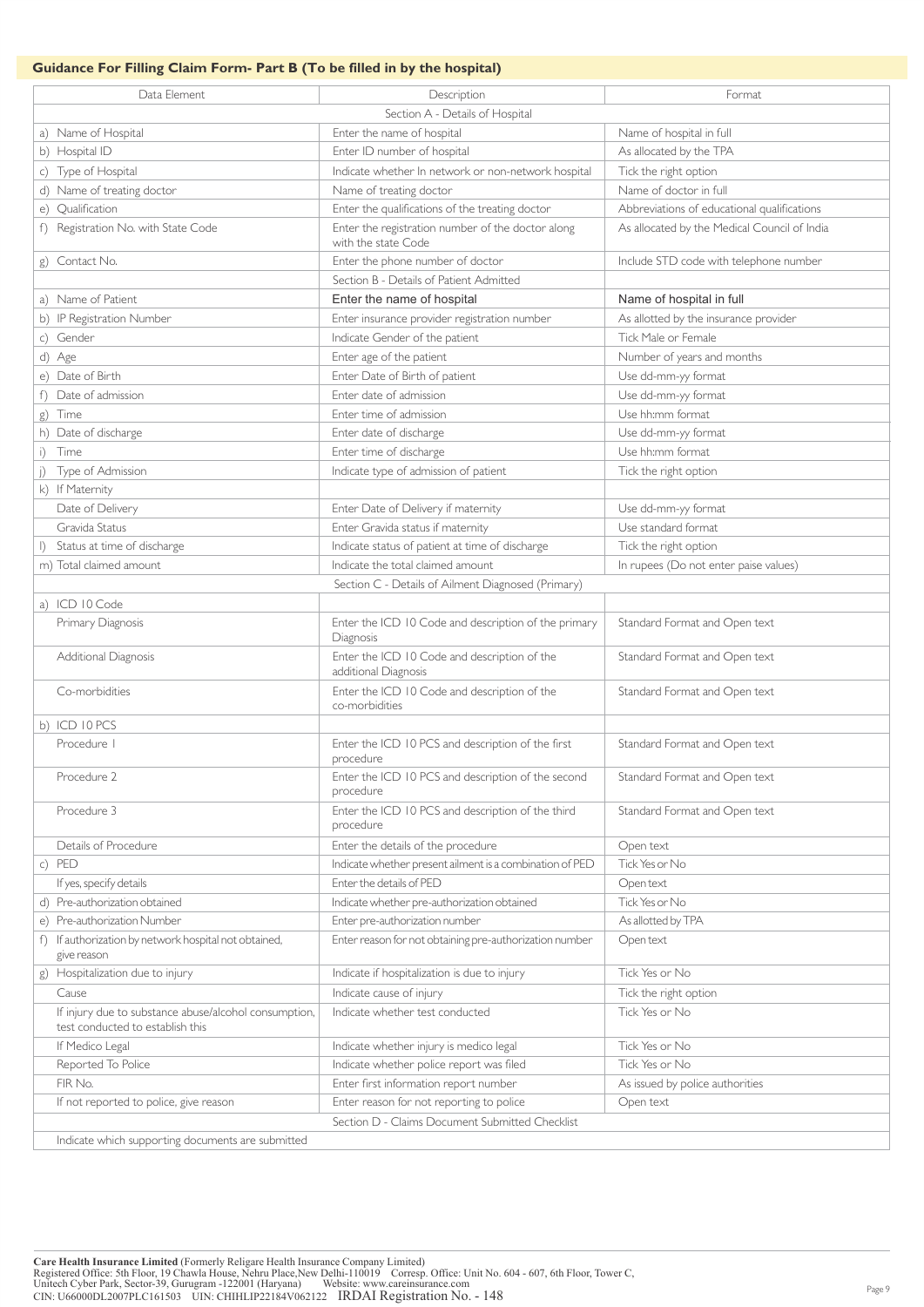### **Guidance For Filling Claim Form- Part B (To be filled in by the hospital)**

| Data Element                                                                              | Description                                                              | Format                                       |
|-------------------------------------------------------------------------------------------|--------------------------------------------------------------------------|----------------------------------------------|
|                                                                                           | Section A - Details of Hospital                                          |                                              |
| a) Name of Hospital                                                                       | Enter the name of hospital                                               | Name of hospital in full                     |
| b) Hospital ID                                                                            | Enter ID number of hospital                                              | As allocated by the TPA                      |
| c) Type of Hospital                                                                       | Indicate whether In network or non-network hospital                      | Tick the right option                        |
| d) Name of treating doctor                                                                | Name of treating doctor                                                  | Name of doctor in full                       |
| e) Qualification                                                                          | Enter the qualifications of the treating doctor                          | Abbreviations of educational qualifications  |
| f) Registration No. with State Code                                                       | Enter the registration number of the doctor along<br>with the state Code | As allocated by the Medical Council of India |
| g) Contact No.                                                                            | Enter the phone number of doctor                                         | Include STD code with telephone number       |
|                                                                                           | Section B - Details of Patient Admitted                                  |                                              |
| a) Name of Patient                                                                        | Enter the name of hospital                                               | Name of hospital in full                     |
| b) IP Registration Number                                                                 | Enter insurance provider registration number                             | As allotted by the insurance provider        |
| c) Gender                                                                                 | Indicate Gender of the patient                                           | Tick Male or Female                          |
| d) Age                                                                                    | Enter age of the patient                                                 | Number of years and months                   |
| e) Date of Birth                                                                          | Enter Date of Birth of patient                                           | Use dd-mm-yy format                          |
| Date of admission                                                                         | Enter date of admission                                                  | Use dd-mm-yy format                          |
| g) Time                                                                                   | Enter time of admission                                                  | Use hh:mm format                             |
| h) Date of discharge                                                                      | Enter date of discharge                                                  | Use dd-mm-yy format                          |
| Time<br>i)                                                                                | Enter time of discharge                                                  | Use hh:mm format                             |
| Type of Admission                                                                         | Indicate type of admission of patient                                    | Tick the right option                        |
| k) If Maternity                                                                           |                                                                          |                                              |
| Date of Delivery                                                                          | Enter Date of Delivery if maternity                                      | Use dd-mm-yy format                          |
| Gravida Status                                                                            | Enter Gravida status if maternity                                        | Use standard format                          |
| I) Status at time of discharge                                                            | Indicate status of patient at time of discharge                          | Tick the right option                        |
| m) Total claimed amount                                                                   | Indicate the total claimed amount                                        | In rupees (Do not enter paise values)        |
|                                                                                           | Section C - Details of Ailment Diagnosed (Primary)                       |                                              |
| a) ICD 10 Code                                                                            |                                                                          |                                              |
| Primary Diagnosis                                                                         | Enter the ICD 10 Code and description of the primary<br>Diagnosis        | Standard Format and Open text                |
| Additional Diagnosis                                                                      | Enter the ICD 10 Code and description of the<br>additional Diagnosis     | Standard Format and Open text                |
| Co-morbidities                                                                            | Enter the ICD 10 Code and description of the<br>co-morbidities           | Standard Format and Open text                |
| b) ICD 10 PCS                                                                             |                                                                          |                                              |
| Procedure I                                                                               | Enter the ICD 10 PCS and description of the first<br>procedure           | Standard Format and Open text                |
| Procedure 2                                                                               | Enter the ICD 10 PCS and description of the second<br>procedure          | Standard Format and Open text                |
| Procedure 3                                                                               | Enter the ICD 10 PCS and description of the third<br>procedure           | Standard Format and Open text                |
| Details of Procedure                                                                      | Enter the details of the procedure                                       | Open text                                    |
| c) PED                                                                                    | Indicate whether present ailment is a combination of PED                 | Tick Yes or No                               |
| If yes, specify details                                                                   | Enter the details of PED                                                 | Open text                                    |
| d) Pre-authorization obtained                                                             | Indicate whether pre-authorization obtained                              | Tick Yes or No                               |
| e) Pre-authorization Number                                                               | Enter pre-authorization number                                           | As allotted by TPA                           |
| f) If authorization by network hospital not obtained,<br>give reason                      | Enter reason for not obtaining pre-authorization number                  | Open text                                    |
| g) Hospitalization due to injury                                                          | Indicate if hospitalization is due to injury                             | Tick Yes or No                               |
| Cause                                                                                     | Indicate cause of injury                                                 | Tick the right option                        |
| If injury due to substance abuse/alcohol consumption,<br>test conducted to establish this | Indicate whether test conducted                                          | Tick Yes or No                               |
| If Medico Legal                                                                           | Indicate whether injury is medico legal                                  | Tick Yes or No                               |
| Reported To Police                                                                        | Indicate whether police report was filed                                 | Tick Yes or No                               |
| FIR No.                                                                                   | Enter first information report number                                    | As issued by police authorities              |
| If not reported to police, give reason                                                    | Enter reason for not reporting to police                                 | Open text                                    |
|                                                                                           | Section D - Claims Document Submitted Checklist                          |                                              |
| Indicate which supporting documents are submitted                                         |                                                                          |                                              |

Care Health Insurance Limited (Formerly Religare Health Insurance Company Limited)<br>Registered Office: 5th Floor, 19 Chawla House, Nehru Place,New Delhi-110019 Corresp. Office: Unit No. 604 - 607, 6th Floor, Tower C,<br>Unitec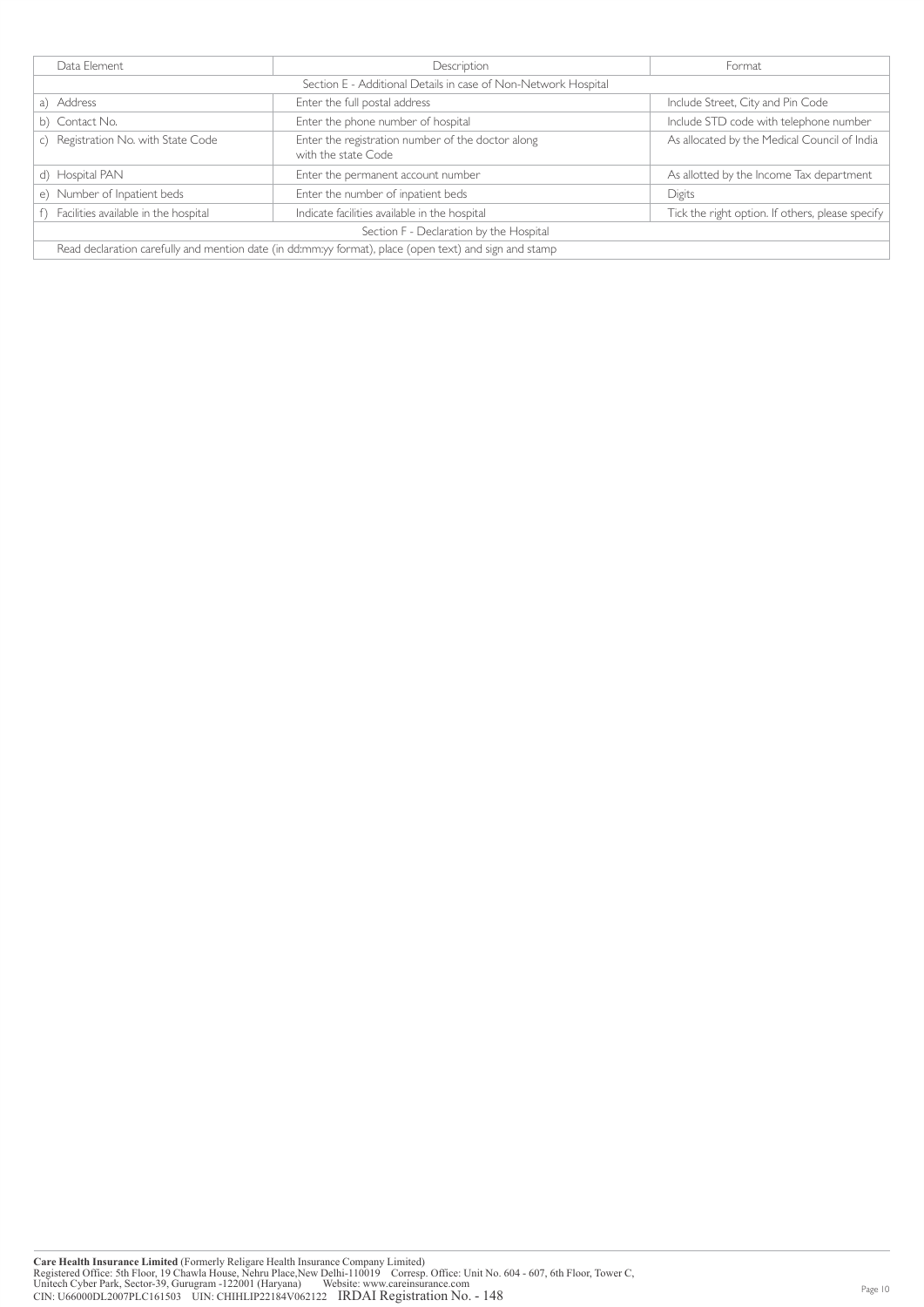| Data Flement                            | Description                                                                                            | Format                                           |  |  |  |  |  |  |  |  |
|-----------------------------------------|--------------------------------------------------------------------------------------------------------|--------------------------------------------------|--|--|--|--|--|--|--|--|
|                                         | Section E - Additional Details in case of Non-Network Hospital                                         |                                                  |  |  |  |  |  |  |  |  |
| a) Address                              | Enter the full postal address                                                                          | Include Street, City and Pin Code                |  |  |  |  |  |  |  |  |
| b) Contact No.                          | Enter the phone number of hospital                                                                     | Include STD code with telephone number           |  |  |  |  |  |  |  |  |
| c) Registration No. with State Code     | Enter the registration number of the doctor along<br>with the state Code                               | As allocated by the Medical Council of India     |  |  |  |  |  |  |  |  |
| d) Hospital PAN                         | Enter the permanent account number                                                                     | As allotted by the Income Tax department         |  |  |  |  |  |  |  |  |
| e) Number of Inpatient beds             | Enter the number of inpatient beds                                                                     | Digits                                           |  |  |  |  |  |  |  |  |
| f) Facilities available in the hospital | Indicate facilities available in the hospital                                                          | Tick the right option. If others, please specify |  |  |  |  |  |  |  |  |
|                                         | Section F - Declaration by the Hospital                                                                |                                                  |  |  |  |  |  |  |  |  |
|                                         | Read declaration carefully and mention date (in dd:mm:yy format), place (open text) and sign and stamp |                                                  |  |  |  |  |  |  |  |  |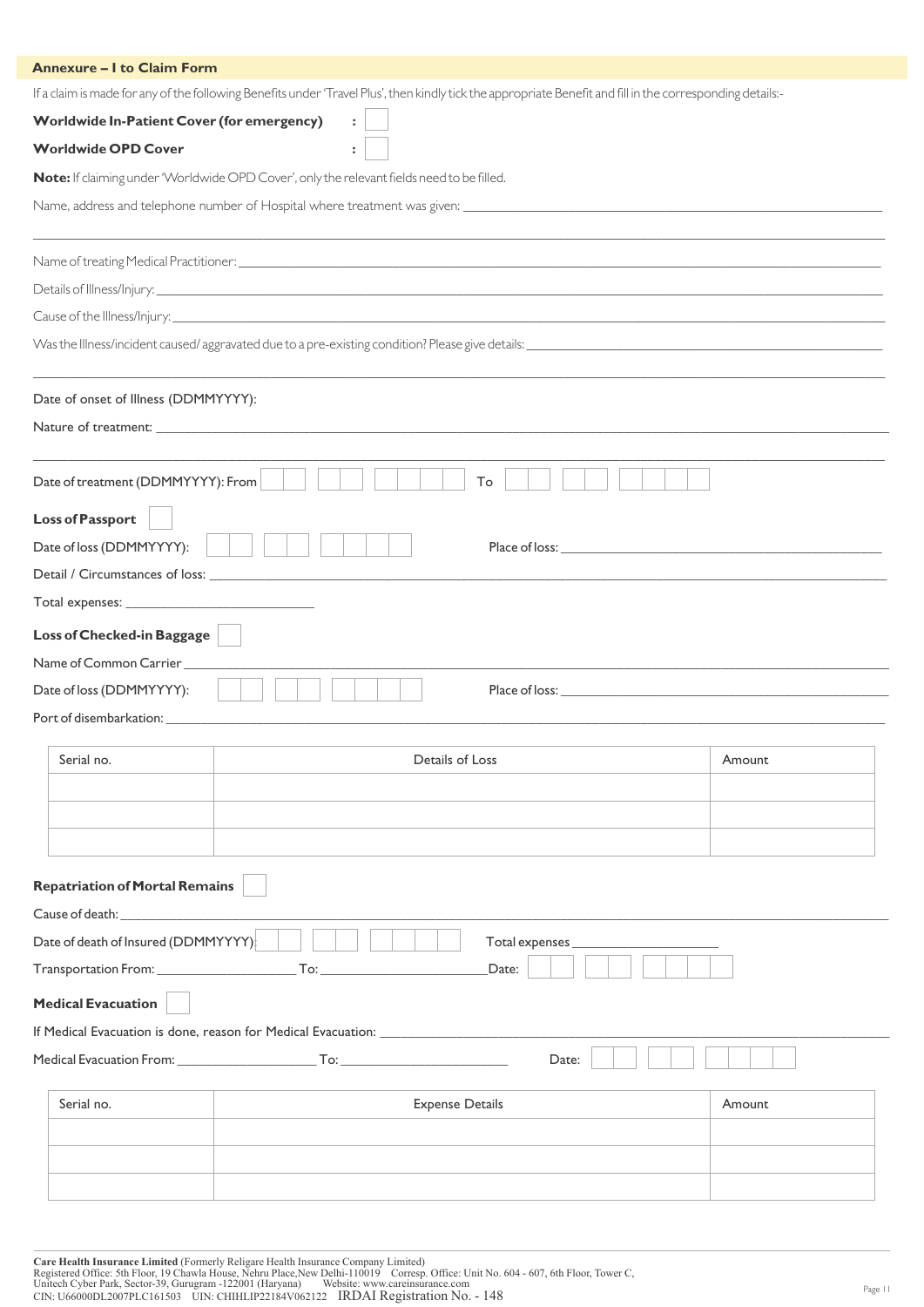| <b>Annexure - I to Claim Form</b>                 |                                                                                                                                                            |        |
|---------------------------------------------------|------------------------------------------------------------------------------------------------------------------------------------------------------------|--------|
|                                                   | If a claim is made for any of the following Benefits under 'Travel Plus', then kindly tick the appropriate Benefit and fill in the corresponding details:- |        |
| <b>Worldwide In-Patient Cover (for emergency)</b> | $\ddot{\cdot}$                                                                                                                                             |        |
| <b>Worldwide OPD Cover</b>                        |                                                                                                                                                            |        |
|                                                   | Note: If claiming under 'Worldwide OPD Cover', only the relevant fields need to be filled.                                                                 |        |
|                                                   |                                                                                                                                                            |        |
|                                                   |                                                                                                                                                            |        |
|                                                   |                                                                                                                                                            |        |
|                                                   |                                                                                                                                                            |        |
|                                                   |                                                                                                                                                            |        |
|                                                   |                                                                                                                                                            |        |
| Date of onset of Illness (DDMMYYYY):              |                                                                                                                                                            |        |
|                                                   |                                                                                                                                                            |        |
|                                                   |                                                                                                                                                            |        |
| Date of treatment (DDMMYYYY): From                | To                                                                                                                                                         |        |
| <b>Loss of Passport</b>                           |                                                                                                                                                            |        |
| Date of loss (DDMMYYYY):                          |                                                                                                                                                            |        |
|                                                   |                                                                                                                                                            |        |
|                                                   |                                                                                                                                                            |        |
| Loss of Checked-in Baggage                        |                                                                                                                                                            |        |
| Name of Common Carrier                            |                                                                                                                                                            |        |
| Date of loss (DDMMYYYY):                          |                                                                                                                                                            |        |
|                                                   |                                                                                                                                                            |        |
|                                                   |                                                                                                                                                            |        |
| Serial no.                                        | Details of Loss                                                                                                                                            | Amount |
|                                                   |                                                                                                                                                            |        |
|                                                   |                                                                                                                                                            |        |
|                                                   |                                                                                                                                                            |        |
| <b>Repatriation of Mortal Remains</b>             |                                                                                                                                                            |        |
|                                                   |                                                                                                                                                            |        |
| Date of death of Insured (DDMMYYYY):              | Total expenses_                                                                                                                                            |        |
|                                                   | Date:                                                                                                                                                      |        |
| <b>Medical Evacuation</b>                         |                                                                                                                                                            |        |
|                                                   | If Medical Evacuation is done, reason for Medical Evacuation: _________________________                                                                    |        |
|                                                   | Date:                                                                                                                                                      |        |
| Serial no.                                        | <b>Expense Details</b>                                                                                                                                     | Amount |
|                                                   |                                                                                                                                                            |        |
|                                                   |                                                                                                                                                            |        |
|                                                   |                                                                                                                                                            |        |
|                                                   |                                                                                                                                                            |        |
|                                                   |                                                                                                                                                            |        |